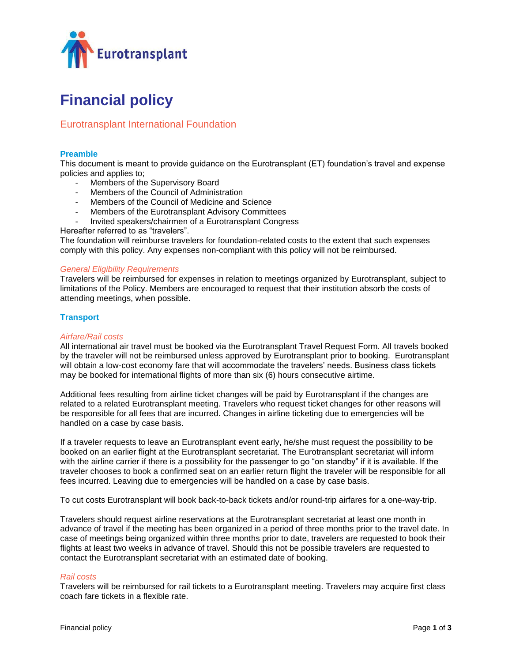

# **Financial policy**

# Eurotransplant International Foundation

# **Preamble**

This document is meant to provide guidance on the Eurotransplant (ET) foundation's travel and expense policies and applies to;

- Members of the Supervisory Board
- Members of the Council of Administration
- Members of the Council of Medicine and Science
- Members of the Eurotransplant Advisory Committees
- Invited speakers/chairmen of a Eurotransplant Congress
- Hereafter referred to as "travelers".

The foundation will reimburse travelers for foundation-related costs to the extent that such expenses comply with this policy. Any expenses non-compliant with this policy will not be reimbursed.

# *General Eligibility Requirements*

Travelers will be reimbursed for expenses in relation to meetings organized by Eurotransplant, subject to limitations of the Policy. Members are encouraged to request that their institution absorb the costs of attending meetings, when possible.

# **Transport**

#### *Airfare/Rail costs*

All international air travel must be booked via the Eurotransplant Travel Request Form. All travels booked by the traveler will not be reimbursed unless approved by Eurotransplant prior to booking. Eurotransplant will obtain a low-cost economy fare that will accommodate the travelers' needs. Business class tickets may be booked for international flights of more than six (6) hours consecutive airtime.

Additional fees resulting from airline ticket changes will be paid by Eurotransplant if the changes are related to a related Eurotransplant meeting. Travelers who request ticket changes for other reasons will be responsible for all fees that are incurred. Changes in airline ticketing due to emergencies will be handled on a case by case basis.

If a traveler requests to leave an Eurotransplant event early, he/she must request the possibility to be booked on an earlier flight at the Eurotransplant secretariat. The Eurotransplant secretariat will inform with the airline carrier if there is a possibility for the passenger to go "on standby" if it is available. If the traveler chooses to book a confirmed seat on an earlier return flight the traveler will be responsible for all fees incurred. Leaving due to emergencies will be handled on a case by case basis.

To cut costs Eurotransplant will book back-to-back tickets and/or round-trip airfares for a one-way-trip.

Travelers should request airline reservations at the Eurotransplant secretariat at least one month in advance of travel if the meeting has been organized in a period of three months prior to the travel date. In case of meetings being organized within three months prior to date, travelers are requested to book their flights at least two weeks in advance of travel. Should this not be possible travelers are requested to contact the Eurotransplant secretariat with an estimated date of booking.

#### *Rail costs*

Travelers will be reimbursed for rail tickets to a Eurotransplant meeting. Travelers may acquire first class coach fare tickets in a flexible rate.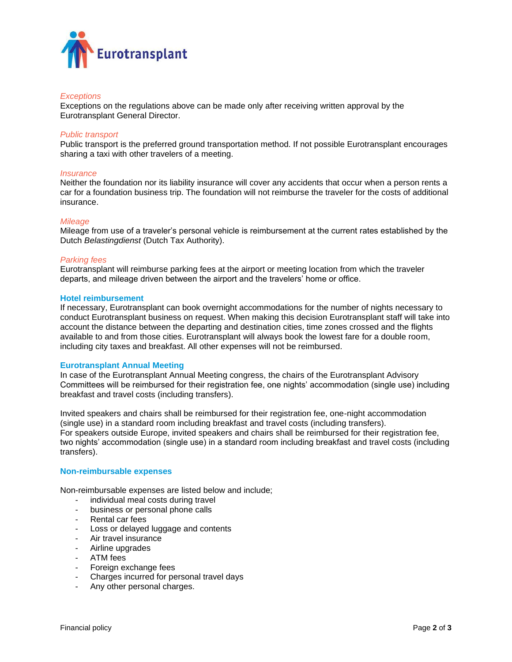

# *Exceptions*

Exceptions on the regulations above can be made only after receiving written approval by the Eurotransplant General Director.

#### *Public transport*

Public transport is the preferred ground transportation method. If not possible Eurotransplant encourages sharing a taxi with other travelers of a meeting.

#### *Insurance*

Neither the foundation nor its liability insurance will cover any accidents that occur when a person rents a car for a foundation business trip. The foundation will not reimburse the traveler for the costs of additional insurance.

#### *Mileage*

Mileage from use of a traveler's personal vehicle is reimbursement at the current rates established by the Dutch *Belastingdienst* (Dutch Tax Authority).

#### *Parking fees*

Eurotransplant will reimburse parking fees at the airport or meeting location from which the traveler departs, and mileage driven between the airport and the travelers' home or office.

#### **Hotel reimbursement**

If necessary, Eurotransplant can book overnight accommodations for the number of nights necessary to conduct Eurotransplant business on request. When making this decision Eurotransplant staff will take into account the distance between the departing and destination cities, time zones crossed and the flights available to and from those cities. Eurotransplant will always book the lowest fare for a double room, including city taxes and breakfast. All other expenses will not be reimbursed.

#### **Eurotransplant Annual Meeting**

In case of the Eurotransplant Annual Meeting congress, the chairs of the Eurotransplant Advisory Committees will be reimbursed for their registration fee, one nights' accommodation (single use) including breakfast and travel costs (including transfers).

Invited speakers and chairs shall be reimbursed for their registration fee, one-night accommodation (single use) in a standard room including breakfast and travel costs (including transfers). For speakers outside Europe, invited speakers and chairs shall be reimbursed for their registration fee, two nights' accommodation (single use) in a standard room including breakfast and travel costs (including transfers).

#### **Non-reimbursable expenses**

Non-reimbursable expenses are listed below and include;

- individual meal costs during travel
- business or personal phone calls
- Rental car fees
- Loss or delayed luggage and contents
- Air travel insurance
- Airline upgrades
- ATM fees
- Foreign exchange fees
- Charges incurred for personal travel days
- Any other personal charges.